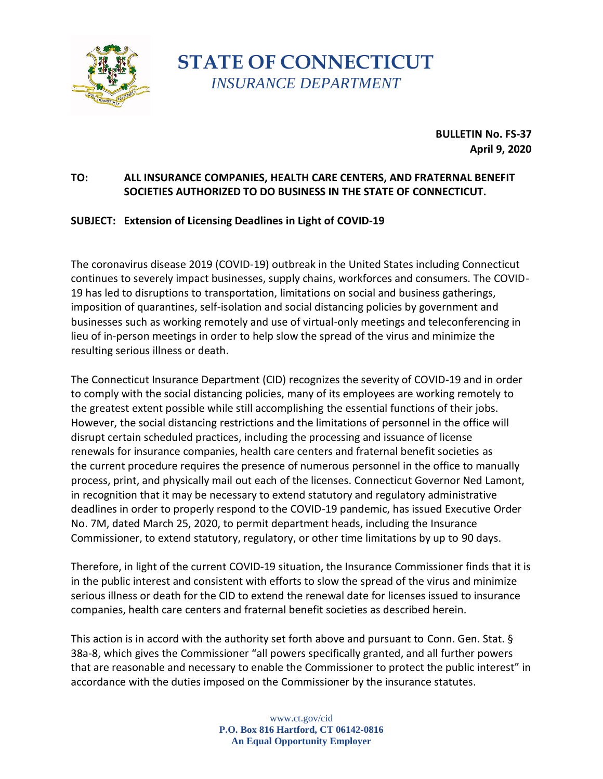

**STATE OF CONNECTICUT** *INSURANCE DEPARTMENT*

> **BULLETIN No. FS-37 April 9, 2020**

## **TO: ALL INSURANCE COMPANIES, HEALTH CARE CENTERS, AND FRATERNAL BENEFIT SOCIETIES AUTHORIZED TO DO BUSINESS IN THE STATE OF CONNECTICUT.**

## **SUBJECT: Extension of Licensing Deadlines in Light of COVID-19**

The coronavirus disease 2019 (COVID-19) outbreak in the United States including Connecticut continues to severely impact businesses, supply chains, workforces and consumers. The COVID-19 has led to disruptions to transportation, limitations on social and business gatherings, imposition of quarantines, self-isolation and social distancing policies by government and businesses such as working remotely and use of virtual-only meetings and teleconferencing in lieu of in-person meetings in order to help slow the spread of the virus and minimize the resulting serious illness or death.

The Connecticut Insurance Department (CID) recognizes the severity of COVID-19 and in order to comply with the social distancing policies, many of its employees are working remotely to the greatest extent possible while still accomplishing the essential functions of their jobs. However, the social distancing restrictions and the limitations of personnel in the office will disrupt certain scheduled practices, including the processing and issuance of license renewals for insurance companies, health care centers and fraternal benefit societies as the current procedure requires the presence of numerous personnel in the office to manually process, print, and physically mail out each of the licenses. Connecticut Governor Ned Lamont, in recognition that it may be necessary to extend statutory and regulatory administrative deadlines in order to properly respond to the COVID-19 pandemic, has issued Executive Order No. 7M, dated March 25, 2020, to permit department heads, including the Insurance Commissioner, to extend statutory, regulatory, or other time limitations by up to 90 days.

Therefore, in light of the current COVID-19 situation, the Insurance Commissioner finds that it is in the public interest and consistent with efforts to slow the spread of the virus and minimize serious illness or death for the CID to extend the renewal date for licenses issued to insurance companies, health care centers and fraternal benefit societies as described herein.

This action is in accord with the authority set forth above and pursuant to Conn. Gen. Stat. § 38a-8, which gives the Commissioner "all powers specifically granted, and all further powers that are reasonable and necessary to enable the Commissioner to protect the public interest" in accordance with the duties imposed on the Commissioner by the insurance statutes.

> www.ct.gov/cid **P.O. Box 816 Hartford, CT 06142-0816 An Equal Opportunity Employer**